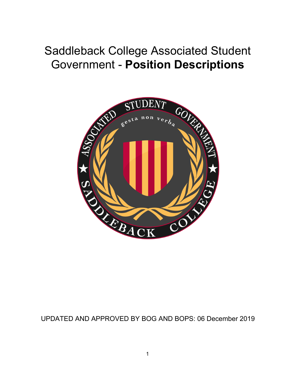# Saddleback College Associated Student Government - **Position Descriptions**



# UPDATED AND APPROVED BY BOG AND BOPS: 06 December 2019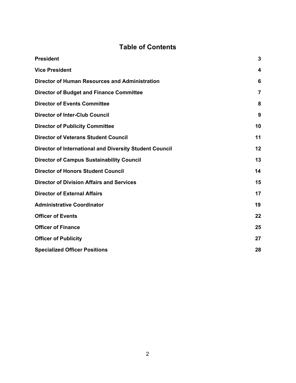# **Table of Contents**

| <b>President</b>                                               | $\mathbf{3}$ |
|----------------------------------------------------------------|--------------|
| <b>Vice President</b>                                          | 4            |
| <b>Director of Human Resources and Administration</b>          | 6            |
| <b>Director of Budget and Finance Committee</b>                | 7            |
| <b>Director of Events Committee</b>                            | 8            |
| <b>Director of Inter-Club Council</b>                          | 9            |
| <b>Director of Publicity Committee</b>                         | 10           |
| <b>Director of Veterans Student Council</b>                    | 11           |
| <b>Director of International and Diversity Student Council</b> | 12           |
| <b>Director of Campus Sustainability Council</b>               | 13           |
| <b>Director of Honors Student Council</b>                      | 14           |
| <b>Director of Division Affairs and Services</b>               | 15           |
| <b>Director of External Affairs</b>                            | 17           |
| <b>Administrative Coordinator</b>                              | 19           |
| <b>Officer of Events</b>                                       | 22           |
| <b>Officer of Finance</b>                                      | 25           |
| <b>Officer of Publicity</b>                                    | 27           |
| <b>Specialized Officer Positions</b>                           | 28           |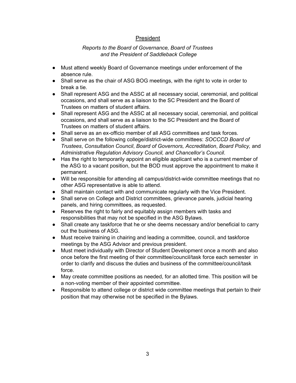# President

#### *Reports to the Board of Governance, Board of Trustees and the President of Saddleback College*

- Must attend weekly Board of Governance meetings under enforcement of the absence rule.
- Shall serve as the chair of ASG BOG meetings, with the right to vote in order to break a tie.
- Shall represent ASG and the ASSC at all necessary social, ceremonial, and political occasions, and shall serve as a liaison to the SC President and the Board of Trustees on matters of student affairs.
- Shall represent ASG and the ASSC at all necessary social, ceremonial, and political occasions, and shall serve as a liaison to the SC President and the Board of Trustees on matters of student affairs.
- Shall serve as an ex-officio member of all ASG committees and task forces.
- Shall serve on the following college/district-wide committees: *SOCCCD Board of Trustees*, *Consultation Council*, *Board of Governors, Accreditation*, *Board Policy,* and *Administrative Regulation Advisory Council, and Chancellor's Council*.
- Has the right to temporarily appoint an eligible applicant who is a current member of the ASG to a vacant position, but the BOD must approve the appointment to make it permanent.
- Will be responsible for attending all campus/district-wide committee meetings that no other ASG representative is able to attend.
- Shall maintain contact with and communicate regularly with the Vice President.
- Shall serve on College and District committees, grievance panels, judicial hearing panels, and hiring committees, as requested.
- Reserves the right to fairly and equitably assign members with tasks and responsibilities that may not be specified in the ASG Bylaws.
- Shall create any taskforce that he or she deems necessary and/or beneficial to carry out the business of ASG.
- Must receive training in chairing and leading a committee, council, and taskforce meetings by the ASG Advisor and previous president.
- Must meet individually with Director of Student Development once a month and also once before the first meeting of their committee/council/task force each semester in order to clarify and discuss the duties and business of the committee/council/task force.
- May create committee positions as needed, for an allotted time. This position will be a non-voting member of their appointed committee.
- Responsible to attend college or district wide committee meetings that pertain to their position that may otherwise not be specified in the Bylaws.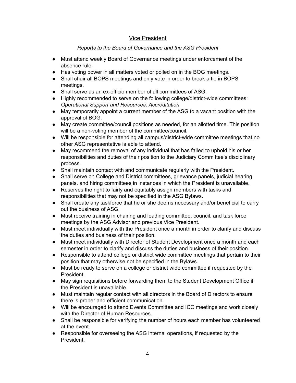# Vice President

- <span id="page-3-0"></span>● Must attend weekly Board of Governance meetings under enforcement of the absence rule.
- Has voting power in all matters voted or polled on in the BOG meetings.
- Shall chair all BOPS meetings and only vote in order to break a tie in BOPS meetings.
- Shall serve as an ex-officio member of all committees of ASG.
- Highly recommended to serve on the following college/district-wide committees: *Operational Support and Resources, Accreditation*
- May temporarily appoint a current member of the ASG to a vacant position with the approval of BOG.
- May create committee/council positions as needed, for an allotted time. This position will be a non-voting member of the committee/council.
- Will be responsible for attending all campus/district-wide committee meetings that no other ASG representative is able to attend.
- May recommend the removal of any individual that has failed to uphold his or her responsibilities and duties of their position to the Judiciary Committee's disciplinary process.
- Shall maintain contact with and communicate regularly with the President.
- Shall serve on College and District committees, grievance panels, judicial hearing panels, and hiring committees in instances in which the President is unavailable.
- Reserves the right to fairly and equitably assign members with tasks and responsibilities that may not be specified in the ASG Bylaws.
- Shall create any taskforce that he or she deems necessary and/or beneficial to carry out the business of ASG.
- Must receive training in chairing and leading committee, council, and task force meetings by the ASG Advisor and previous Vice President.
- Must meet individually with the President once a month in order to clarify and discuss the duties and business of their position.
- Must meet individually with Director of Student Development once a month and each semester in order to clarify and discuss the duties and business of their position.
- Responsible to attend college or district wide committee meetings that pertain to their position that may otherwise not be specified in the Bylaws.
- Must be ready to serve on a college or district wide committee if requested by the President.
- May sign requisitions before forwarding them to the Student Development Office if the President is unavailable.
- Must maintain regular contact with all directors in the Board of Directors to ensure there is proper and efficient communication.
- Will be encouraged to attend Events Committee and ICC meetings and work closely with the Director of Human Resources.
- Shall be responsible for verifying the number of hours each member has volunteered at the event.
- Responsible for overseeing the ASG internal operations, if requested by the President.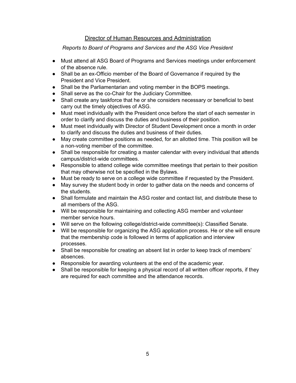# Director of Human Resources and Administration

*Reports to Board of Programs and Services and the ASG Vice President*

- Must attend all ASG Board of Programs and Services meetings under enforcement of the absence rule.
- Shall be an ex-Officio member of the Board of Governance if required by the President and Vice President.
- Shall be the Parliamentarian and voting member in the BOPS meetings.
- Shall serve as the co-Chair for the Judiciary Committee.
- Shall create any taskforce that he or she considers necessary or beneficial to best carry out the timely objectives of ASG.
- Must meet individually with the President once before the start of each semester in order to clarify and discuss the duties and business of their position.
- Must meet individually with Director of Student Development once a month in order to clarify and discuss the duties and business of their duties.
- May create committee positions as needed, for an allotted time. This position will be a non-voting member of the committee.
- Shall be responsible for creating a master calendar with every individual that attends campus/district-wide committees.
- Responsible to attend college wide committee meetings that pertain to their position that may otherwise not be specified in the Bylaws.
- Must be ready to serve on a college wide committee if requested by the President.
- May survey the student body in order to gather data on the needs and concerns of the students.
- Shall formulate and maintain the ASG roster and contact list, and distribute these to all members of the ASG.
- Will be responsible for maintaining and collecting ASG member and volunteer member service hours.
- Will serve on the following college/district-wide committee(s): Classified Senate.
- Will be responsible for organizing the ASG application process. He or she will ensure that the membership code is followed in terms of application and interview processes.
- Shall be responsible for creating an absent list in order to keep track of members' absences.
- Responsible for awarding volunteers at the end of the academic year.
- Shall be responsible for keeping a physical record of all written officer reports, if they are required for each committee and the attendance records.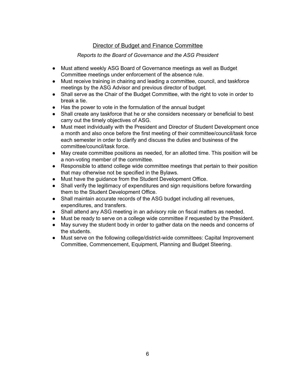# Director of Budget and Finance Committee

- Must attend weekly ASG Board of Governance meetings as well as Budget Committee meetings under enforcement of the absence rule.
- Must receive training in chairing and leading a committee, council, and taskforce meetings by the ASG Advisor and previous director of budget.
- Shall serve as the Chair of the Budget Committee, with the right to vote in order to break a tie.
- Has the power to vote in the formulation of the annual budget
- Shall create any taskforce that he or she considers necessary or beneficial to best carry out the timely objectives of ASG.
- Must meet individually with the President and Director of Student Development once a month and also once before the first meeting of their committee/council/task force each semester in order to clarify and discuss the duties and business of the committee/council/task force.
- May create committee positions as needed, for an allotted time. This position will be a non-voting member of the committee.
- Responsible to attend college wide committee meetings that pertain to their position that may otherwise not be specified in the Bylaws.
- Must have the guidance from the Student Development Office.
- Shall verify the legitimacy of expenditures and sign requisitions before forwarding them to the Student Development Office.
- Shall maintain accurate records of the ASG budget including all revenues, expenditures, and transfers.
- Shall attend any ASG meeting in an advisory role on fiscal matters as needed.
- Must be ready to serve on a college wide committee if requested by the President.
- May survey the student body in order to gather data on the needs and concerns of the students.
- Must serve on the following college/district-wide committees: Capital Improvement Committee, Commencement, Equipment, Planning and Budget Steering.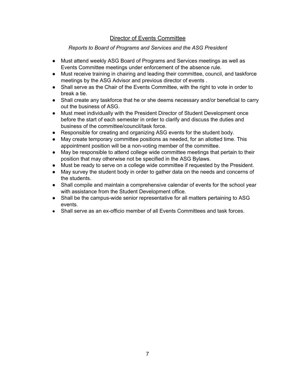# Director of Events Committee

#### *Reports to Board of Programs and Services and the ASG President*

- <span id="page-6-0"></span>● Must attend weekly ASG Board of Programs and Services meetings as well as Events Committee meetings under enforcement of the absence rule.
- Must receive training in chairing and leading their committee, council, and taskforce meetings by the ASG Advisor and previous director of events .
- Shall serve as the Chair of the Events Committee, with the right to vote in order to break a tie.
- Shall create any taskforce that he or she deems necessary and/or beneficial to carry out the business of ASG.
- Must meet individually with the President Director of Student Development once before the start of each semester in order to clarify and discuss the duties and business of the committee/council/task force.
- Responsible for creating and organizing ASG events for the student body.
- May create temporary committee positions as needed, for an allotted time. This appointment position will be a non-voting member of the committee.
- May be responsible to attend college wide committee meetings that pertain to their position that may otherwise not be specified in the ASG Bylaws.
- Must be ready to serve on a college wide committee if requested by the President.
- May survey the student body in order to gather data on the needs and concerns of the students.
- Shall compile and maintain a comprehensive calendar of events for the school year with assistance from the Student Development office.
- Shall be the campus-wide senior representative for all matters pertaining to ASG events.
- Shall serve as an ex-officio member of all Events Committees and task forces.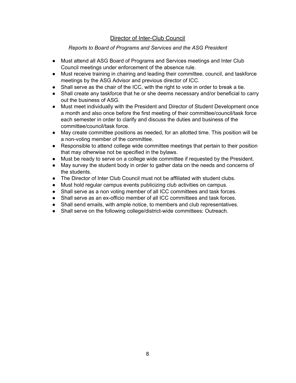# Director of Inter-Club Council

#### *Reports to Board of Programs and Services and the ASG President*

- <span id="page-7-0"></span>● Must attend all ASG Board of Programs and Services meetings and Inter Club Council meetings under enforcement of the absence rule.
- Must receive training in chairing and leading their committee, council, and taskforce meetings by the ASG Advisor and previous director of ICC.
- Shall serve as the chair of the ICC, with the right to vote in order to break a tie.
- Shall create any taskforce that he or she deems necessary and/or beneficial to carry out the business of ASG.
- Must meet individually with the President and Director of Student Development once a month and also once before the first meeting of their committee/council/task force each semester in order to clarify and discuss the duties and business of the committee/council/task force.
- May create committee positions as needed, for an allotted time. This position will be a non-voting member of the committee.
- Responsible to attend college wide committee meetings that pertain to their position that may otherwise not be specified in the bylaws.
- Must be ready to serve on a college wide committee if requested by the President.
- May survey the student body in order to gather data on the needs and concerns of the students.
- The Director of Inter Club Council must not be affiliated with student clubs.
- Must hold regular campus events publicizing club activities on campus.
- Shall serve as a non voting member of all ICC committees and task forces.
- Shall serve as an ex-officio member of all ICC committees and task forces.
- Shall send emails, with ample notice, to members and club representatives.
- Shall serve on the following college/district-wide committees: Outreach.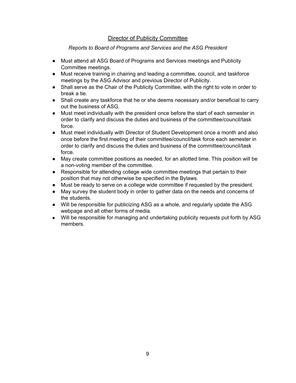# Director of Publicity Committee

#### *Reports to Board of Programs and Services and the ASG President*

- <span id="page-8-0"></span>● Must attend all ASG Board of Programs and Services meetings and Publicity Committee meetings.
- Must receive training in chairing and leading a committee, council, and taskforce meetings by the ASG Advisor and previous Director of Publicity.
- Shall serve as the Chair of the Publicity Committee, with the right to vote in order to break a tie.
- Shall create any taskforce that he or she deems necessary and/or beneficial to carry out the business of ASG.
- Must meet individually with the president once before the start of each semester in order to clarify and discuss the duties and business of the committee/council/task force.
- Must meet individually with Director of Student Development once a month and also once before the first meeting of their committee/council/task force each semester in order to clarify and discuss the duties and business of the committee/council/task force.
- May create committee positions as needed, for an allotted time. This position will be a non-voting member of the committee.
- Responsible for attending college wide committee meetings that pertain to their position that may not otherwise be specified in the Bylaws.
- Must be ready to serve on a college wide committee if requested by the president.
- May survey the student body in order to gather data on the needs and concerns of the students.
- Will be responsible for publicizing ASG as a whole, and regularly update the ASG webpage and all other forms of media.
- Will be responsible for managing and undertaking publicity requests put forth by ASG members.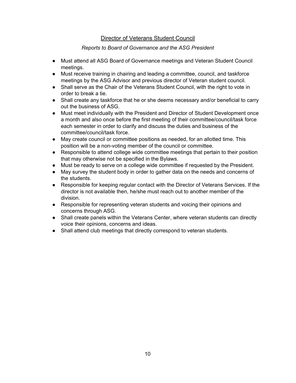# Director of Veterans Student Council

- <span id="page-9-0"></span>● Must attend all ASG Board of Governance meetings and Veteran Student Council meetings.
- Must receive training in chairing and leading a committee, council, and taskforce meetings by the ASG Advisor and previous director of Veteran student council.
- Shall serve as the Chair of the Veterans Student Council, with the right to vote in order to break a tie.
- Shall create any taskforce that he or she deems necessary and/or beneficial to carry out the business of ASG.
- Must meet individually with the President and Director of Student Development once a month and also once before the first meeting of their committee/council/task force each semester in order to clarify and discuss the duties and business of the committee/council/task force.
- May create council or committee positions as needed, for an allotted time. This position will be a non-voting member of the council or committee.
- Responsible to attend college wide committee meetings that pertain to their position that may otherwise not be specified in the Bylaws.
- Must be ready to serve on a college wide committee if requested by the President.
- May survey the student body in order to gather data on the needs and concerns of the students.
- Responsible for keeping regular contact with the Director of Veterans Services. If the director is not available then, he/she must reach out to another member of the division.
- Responsible for representing veteran students and voicing their opinions and concerns through ASG.
- Shall create panels within the Veterans Center, where veteran students can directly voice their opinions, concerns and ideas.
- Shall attend club meetings that directly correspond to veteran students.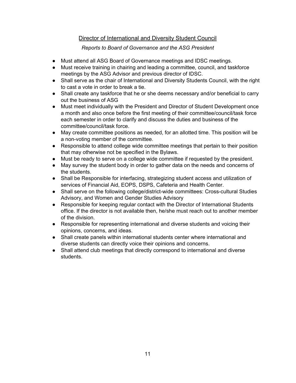# Director of International and Diversity Student Council

- <span id="page-10-0"></span>● Must attend all ASG Board of Governance meetings and IDSC meetings.
- Must receive training in chairing and leading a committee, council, and taskforce meetings by the ASG Advisor and previous director of IDSC.
- Shall serve as the chair of International and Diversity Students Council, with the right to cast a vote in order to break a tie.
- Shall create any taskforce that he or she deems necessary and/or beneficial to carry out the business of ASG
- Must meet individually with the President and Director of Student Development once a month and also once before the first meeting of their committee/council/task force each semester in order to clarify and discuss the duties and business of the committee/council/task force.
- May create committee positions as needed, for an allotted time. This position will be a non-voting member of the committee.
- Responsible to attend college wide committee meetings that pertain to their position that may otherwise not be specified in the Bylaws.
- Must be ready to serve on a college wide committee if requested by the president.
- May survey the student body in order to gather data on the needs and concerns of the students.
- Shall be Responsible for interfacing, strategizing student access and utilization of services of Financial Aid, EOPS, DSPS, Cafeteria and Health Center.
- Shall serve on the following college/district-wide committees: Cross-cultural Studies Advisory, and Women and Gender Studies Advisory
- Responsible for keeping regular contact with the Director of International Students office. If the director is not available then, he/she must reach out to another member of the division.
- Responsible for representing international and diverse students and voicing their opinions, concerns, and ideas.
- Shall create panels within international students center where international and diverse students can directly voice their opinions and concerns.
- Shall attend club meetings that directly correspond to international and diverse students.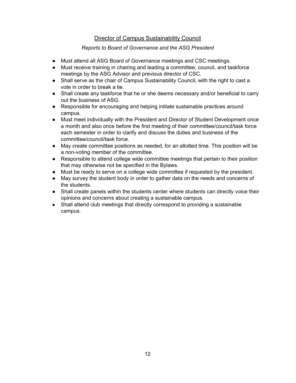# Director of Campus Sustainability Council

- <span id="page-11-0"></span>● Must attend all ASG Board of Governance meetings and CSC meetings.
- Must receive training in chairing and leading a committee, council, and taskforce meetings by the ASG Advisor and previous director of CSC.
- Shall serve as the chair of Campus Sustainability Council, with the right to cast a vote in order to break a tie.
- Shall create any taskforce that he or she deems necessary and/or beneficial to carry out the business of ASG.
- Responsible for encouraging and helping initiate sustainable practices around campus.
- Must meet individually with the President and Director of Student Development once a month and also once before the first meeting of their committee/council/task force each semester in order to clarify and discuss the duties and business of the committee/council/task force.
- May create committee positions as needed, for an allotted time. This position will be a non-voting member of the committee.
- Responsible to attend college wide committee meetings that pertain to their position that may otherwise not be specified in the Bylaws.
- Must be ready to serve on a college wide committee if requested by the president.
- May survey the student body in order to gather data on the needs and concerns of the students.
- Shall create panels within the students center where students can directly voice their opinions and concerns about creating a sustainable campus.
- Shall attend club meetings that directly correspond to providing a sustainable campus.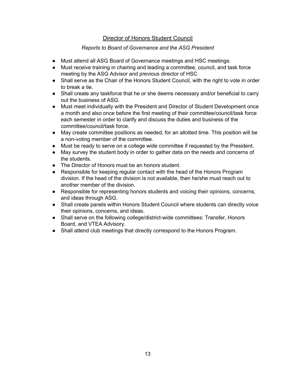# Director of Honors Student Council

- <span id="page-12-0"></span>● Must attend all ASG Board of Governance meetings and HSC meetings.
- Must receive training in chairing and leading a committee, council, and task force meeting by the ASG Advisor and previous director of HSC
- Shall serve as the Chair of the Honors Student Council, with the right to vote in order to break a tie.
- Shall create any taskforce that he or she deems necessary and/or beneficial to carry out the business of ASG.
- Must meet individually with the President and Director of Student Development once a month and also once before the first meeting of their committee/council/task force each semester in order to clarify and discuss the duties and business of the committee/council/task force.
- May create committee positions as needed, for an allotted time. This position will be a non-voting member of the committee.
- Must be ready to serve on a college wide committee if requested by the President.
- May survey the student body in order to gather data on the needs and concerns of the students.
- The Director of Honors must be an honors student.
- Responsible for keeping regular contact with the head of the Honors Program division. If the head of the division is not available, then he/she must reach out to another member of the division.
- Responsible for representing honors students and voicing their opinions, concerns, and ideas through ASG.
- Shall create panels within Honors Student Council where students can directly voice their opinions, concerns, and ideas.
- Shall serve on the following college/district-wide committees: Transfer, Honors Board, and VTEA Advisory.
- Shall attend club meetings that directly correspond to the Honors Program.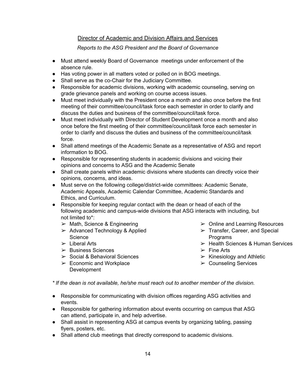# Director of Academic and Division Affairs and Services

*Reports to the ASG President and the Board of Governance*

- Must attend weekly Board of Governance meetings under enforcement of the absence rule.
- Has voting power in all matters voted or polled on in BOG meetings.
- Shall serve as the co-Chair for the Judiciary Committee.
- Responsible for academic divisions, working with academic counseling, serving on grade grievance panels and working on course access issues.
- Must meet individually with the President once a month and also once before the first meeting of their committee/council/task force each semester in order to clarify and discuss the duties and business of the committee/council/task force.
- Must meet individually with Director of Student Development once a month and also once before the first meeting of their committee/council/task force each semester in order to clarify and discuss the duties and business of the committee/council/task force.
- Shall attend meetings of the Academic Senate as a representative of ASG and report information to BOG.
- Responsible for representing students in academic divisions and voicing their opinions and concerns to ASG and the Academic Senate
- Shall create panels within academic divisions where students can directly voice their opinions, concerns, and ideas.
- Must serve on the following college/district-wide committees: Academic Senate, Academic Appeals, Academic Calendar Committee, Academic Standards and Ethics, and Curriculum.
- Responsible for keeping regular contact with the dean or head of each of the following academic and campus-wide divisions that ASG interacts with including, but not limited to\*:
	- $\triangleright$  Math, Science & Engineering
	- $\geq$  Advanced Technology & Applied **Science**
	- $\geq$  Liberal Arts
	- ➢ Business Sciences
	- $\geq$  Social & Behavioral Sciences
	- $\triangleright$  Economic and Workplace Development
- ➢ Online and Learning Resources
- $\triangleright$  Transfer, Career, and Special Programs
- ➢ Health Sciences & Human Services
- $\triangleright$  Fine Arts
- $\triangleright$  Kinesiology and Athletic
- ➢ Counseling Services

*\* If the dean is not available, he/she must reach out to another member of the division.*

- Responsible for communicating with division offices regarding ASG activities and events.
- Responsible for gathering information about events occurring on campus that ASG can attend, participate in, and help advertise.
- Shall assist in representing ASG at campus events by organizing tabling, passing flyers, posters, etc.
- Shall attend club meetings that directly correspond to academic divisions.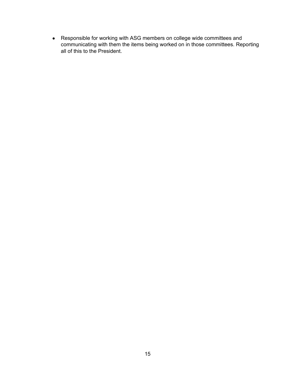● Responsible for working with ASG members on college wide committees and communicating with them the items being worked on in those committees. Reporting all of this to the President.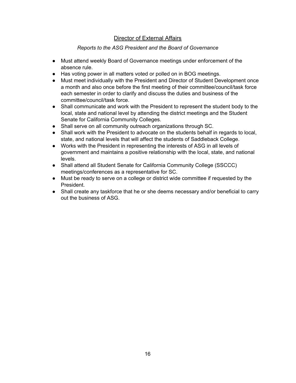# Director of External Affairs

#### *Reports to the ASG President and the Board of Governance*

- <span id="page-15-0"></span>● Must attend weekly Board of Governance meetings under enforcement of the absence rule.
- Has voting power in all matters voted or polled on in BOG meetings.
- Must meet individually with the President and Director of Student Development once a month and also once before the first meeting of their committee/council/task force each semester in order to clarify and discuss the duties and business of the committee/council/task force.
- Shall communicate and work with the President to represent the student body to the local, state and national level by attending the district meetings and the Student Senate for California Community Colleges.
- Shall serve on all community outreach organizations through SC.
- Shall work with the President to advocate on the students behalf in regards to local, state, and national levels that will affect the students of Saddleback College.
- Works with the President in representing the interests of ASG in all levels of government and maintains a positive relationship with the local, state, and national levels.
- Shall attend all Student Senate for California Community College (SSCCC) meetings/conferences as a representative for SC.
- Must be ready to serve on a college or district wide committee if requested by the President.
- Shall create any taskforce that he or she deems necessary and/or beneficial to carry out the business of ASG.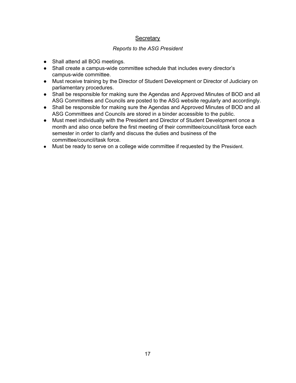# **Secretary**

#### *Reports to the ASG President*

- Shall attend all BOG meetings.
- Shall create a campus-wide committee schedule that includes every director's campus-wide committee.
- Must receive training by the Director of Student Development or Director of Judiciary on parliamentary procedures.
- Shall be responsible for making sure the Agendas and Approved Minutes of BOD and all ASG Committees and Councils are posted to the ASG website regularly and accordingly.
- Shall be responsible for making sure the Agendas and Approved Minutes of BOD and all ASG Committees and Councils are stored in a binder accessible to the public.
- Must meet individually with the President and Director of Student Development once a month and also once before the first meeting of their committee/council/task force each semester in order to clarify and discuss the duties and business of the committee/council/task force.
- Must be ready to serve on a college wide committee if requested by the President.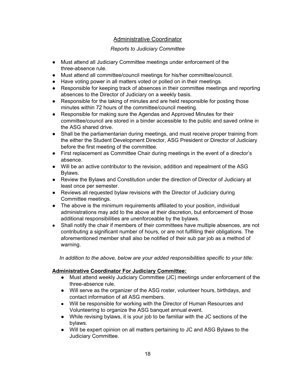# Administrative Coordinator

# *Reports to Judiciary Committee*

- <span id="page-17-0"></span>● Must attend all Judiciary Committee meetings under enforcement of the three-absence rule.
- Must attend all committee/council meetings for his/her committee/council.
- Have voting power in all matters voted or polled on in their meetings.
- Responsible for keeping track of absences in their committee meetings and reporting absences to the Director of Judiciary on a weekly basis.
- Responsible for the taking of minutes and are held responsible for posting those minutes within 72 hours of the committee/council meeting.
- Responsible for making sure the Agendas and Approved Minutes for their committee/council are stored in a binder accessible to the public and saved online in the ASG shared drive.
- Shall be the parliamentarian during meetings, and must receive proper training from the either the Student Development Director, ASG President or Director of Judiciary before the first meeting of the committee.
- First replacement as Committee Chair during meetings in the event of a director's absence.
- Will be an active contributor to the revision, addition and repealment of the ASG Bylaws.
- Review the Bylaws and Constitution under the direction of Director of Judiciary at least once per semester.
- Reviews all requested bylaw revisions with the Director of Judiciary during Committee meetings.
- The above is the minimum requirements affiliated to your position, individual administrations may add to the above at their discretion, but enforcement of those additional responsibilities are unenforceable by the bylaws.
- Shall notify the chair if members of their committees have multiple absences, are not contributing a significant number of hours, or are not fulfilling their obligations. The aforementioned member shall also be notified of their sub par job as a method of warning.

*In addition to the above, below are your added responsibilities specific to your title:*

#### **Administrative Coordinator For Judiciary Committee:**

- Must attend weekly Judiciary Committee (JC) meetings under enforcement of the three-absence rule.
- Will serve as the organizer of the ASG roster, volunteer hours, birthdays, and contact information of all ASG members.
- Will be responsible for working with the Director of Human Resources and Volunteering to organize the ASG banquet annual event.
- While revising bylaws, it is your job to be familiar with the JC sections of the bylaws.
- Will be expert opinion on all matters pertaining to JC and ASG Bylaws to the Judiciary Committee.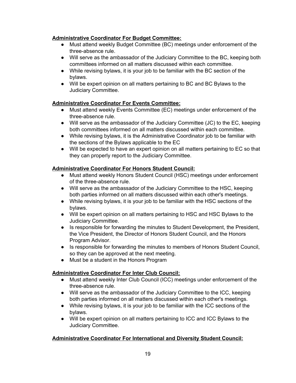#### **Administrative Coordinator For Budget Committee:**

- Must attend weekly Budget Committee (BC) meetings under enforcement of the three-absence rule.
- Will serve as the ambassador of the Judiciary Committee to the BC, keeping both committees informed on all matters discussed within each committee.
- While revising bylaws, it is your job to be familiar with the BC section of the bylaws.
- Will be expert opinion on all matters pertaining to BC and BC Bylaws to the Judiciary Committee.

# **Administrative Coordinator For Events Committee:**

- Must attend weekly Events Committee (EC) meetings under enforcement of the three-absence rule.
- Will serve as the ambassador of the Judiciary Committee (JC) to the EC, keeping both committees informed on all matters discussed within each committee.
- While revising bylaws, it is the Administrative Coordinator job to be familiar with the sections of the Bylaws applicable to the EC
- Will be expected to have an expert opinion on all matters pertaining to EC so that they can properly report to the Judiciary Committee.

# **Administrative Coordinator For Honors Student Council:**

- Must attend weekly Honors Student Council (HSC) meetings under enforcement of the three-absence rule.
- Will serve as the ambassador of the Judiciary Committee to the HSC, keeping both parties informed on all matters discussed within each other's meetings.
- While revising bylaws, it is your job to be familiar with the HSC sections of the bylaws.
- Will be expert opinion on all matters pertaining to HSC and HSC Bylaws to the Judiciary Committee.
- Is responsible for forwarding the minutes to Student Development, the President, the Vice President, the Director of Honors Student Council, and the Honors Program Advisor.
- Is responsible for forwarding the minutes to members of Honors Student Council, so they can be approved at the next meeting.
- Must be a student in the Honors Program

# **Administrative Coordinator For Inter Club Council:**

- Must attend weekly Inter Club Council (ICC) meetings under enforcement of the three-absence rule.
- Will serve as the ambassador of the Judiciary Committee to the ICC, keeping both parties informed on all matters discussed within each other's meetings.
- While revising bylaws, it is your job to be familiar with the ICC sections of the bylaws.
- Will be expert opinion on all matters pertaining to ICC and ICC Bylaws to the Judiciary Committee.

# **Administrative Coordinator For International and Diversity Student Council:**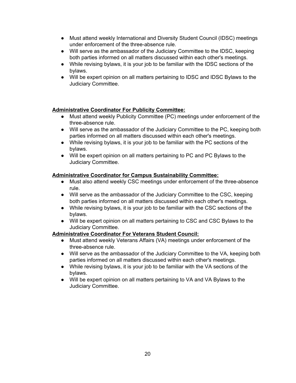- Must attend weekly International and Diversity Student Council (IDSC) meetings under enforcement of the three-absence rule.
- Will serve as the ambassador of the Judiciary Committee to the IDSC, keeping both parties informed on all matters discussed within each other's meetings.
- While revising bylaws, it is your job to be familiar with the IDSC sections of the bylaws.
- Will be expert opinion on all matters pertaining to IDSC and IDSC Bylaws to the Judiciary Committee.

#### **Administrative Coordinator For Publicity Committee:**

- Must attend weekly Publicity Committee (PC) meetings under enforcement of the three-absence rule.
- Will serve as the ambassador of the Judiciary Committee to the PC, keeping both parties informed on all matters discussed within each other's meetings.
- While revising bylaws, it is your job to be familiar with the PC sections of the bylaws.
- Will be expert opinion on all matters pertaining to PC and PC Bylaws to the Judiciary Committee.

#### **Administrative Coordinator for Campus Sustainability Committee:**

- Must also attend weekly CSC meetings under enforcement of the three-absence rule.
- Will serve as the ambassador of the Judiciary Committee to the CSC, keeping both parties informed on all matters discussed within each other's meetings.
- While revising bylaws, it is your job to be familiar with the CSC sections of the bylaws.
- Will be expert opinion on all matters pertaining to CSC and CSC Bylaws to the Judiciary Committee.

# **Administrative Coordinator For Veterans Student Council:**

- Must attend weekly Veterans Affairs (VA) meetings under enforcement of the three-absence rule.
- Will serve as the ambassador of the Judiciary Committee to the VA, keeping both parties informed on all matters discussed within each other's meetings.
- While revising bylaws, it is your job to be familiar with the VA sections of the bylaws.
- Will be expert opinion on all matters pertaining to VA and VA Bylaws to the Judiciary Committee.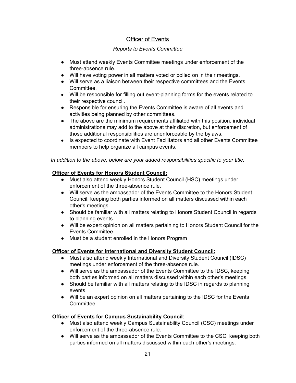# Officer of Events

# *Reports to Events Committee*

- <span id="page-20-0"></span>● Must attend weekly Events Committee meetings under enforcement of the three-absence rule.
- Will have voting power in all matters voted or polled on in their meetings.
- Will serve as a liaison between their respective committees and the Events Committee.
- Will be responsible for filling out event-planning forms for the events related to their respective council.
- Responsible for ensuring the Events Committee is aware of all events and activities being planned by other committees.
- The above are the minimum requirements affiliated with this position, individual administrations may add to the above at their discretion, but enforcement of those additional responsibilities are unenforceable by the bylaws.
- Is expected to coordinate with Event Facilitators and all other Events Committee members to help organize all campus events.

#### *In addition to the above, below are your added responsibilities specific to your title:*

# **Officer of Events for Honors Student Council:**

- Must also attend weekly Honors Student Council (HSC) meetings under enforcement of the three-absence rule.
- Will serve as the ambassador of the Events Committee to the Honors Student Council, keeping both parties informed on all matters discussed within each other's meetings.
- Should be familiar with all matters relating to Honors Student Council in regards to planning events.
- Will be expert opinion on all matters pertaining to Honors Student Council for the Events Committee.
- Must be a student enrolled in the Honors Program

# **Officer of Events for International and Diversity Student Council:**

- Must also attend weekly International and Diversity Student Council (IDSC) meetings under enforcement of the three-absence rule.
- Will serve as the ambassador of the Events Committee to the IDSC, keeping both parties informed on all matters discussed within each other's meetings.
- Should be familiar with all matters relating to the IDSC in regards to planning events.
- Will be an expert opinion on all matters pertaining to the IDSC for the Events Committee.

# **Officer of Events for Campus Sustainability Council:**

- Must also attend weekly Campus Sustainability Council (CSC) meetings under enforcement of the three-absence rule.
- Will serve as the ambassador of the Events Committee to the CSC, keeping both parties informed on all matters discussed within each other's meetings.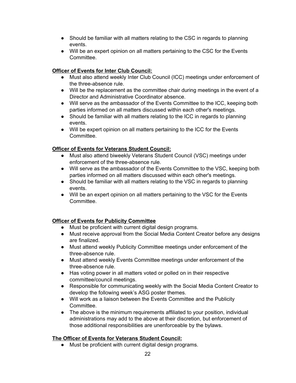- Should be familiar with all matters relating to the CSC in regards to planning events.
- Will be an expert opinion on all matters pertaining to the CSC for the Events Committee.

# **Officer of Events for Inter Club Council:**

- Must also attend weekly Inter Club Council (ICC) meetings under enforcement of the three-absence rule.
- Will be the replacement as the committee chair during meetings in the event of a Director and Administrative Coordinator absence.
- Will serve as the ambassador of the Events Committee to the ICC, keeping both parties informed on all matters discussed within each other's meetings.
- Should be familiar with all matters relating to the ICC in regards to planning events.
- Will be expert opinion on all matters pertaining to the ICC for the Events Committee.

# **Officer of Events for Veterans Student Council:**

- Must also attend biweekly Veterans Student Council (VSC) meetings under enforcement of the three-absence rule.
- Will serve as the ambassador of the Events Committee to the VSC, keeping both parties informed on all matters discussed within each other's meetings.
- Should be familiar with all matters relating to the VSC in regards to planning events.
- Will be an expert opinion on all matters pertaining to the VSC for the Events Committee.

# **Officer of Events for Publicity Committee**

- Must be proficient with current digital design programs.
- Must receive approval from the Social Media Content Creator before any designs are finalized.
- Must attend weekly Publicity Committee meetings under enforcement of the three-absence rule.
- Must attend weekly Events Committee meetings under enforcement of the three-absence rule.
- Has voting power in all matters voted or polled on in their respective committee/council meetings.
- Responsible for communicating weekly with the Social Media Content Creator to develop the following week's ASG poster themes.
- Will work as a liaison between the Events Committee and the Publicity Committee.
- The above is the minimum requirements affiliated to your position, individual administrations may add to the above at their discretion, but enforcement of those additional responsibilities are unenforceable by the bylaws.

# **The Officer of Events for Veterans Student Council:**

● Must be proficient with current digital design programs.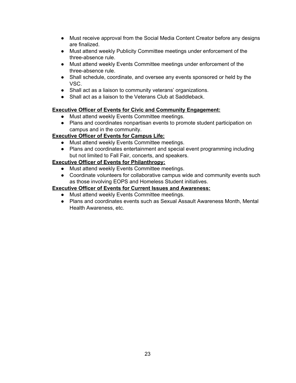- Must receive approval from the Social Media Content Creator before any designs are finalized.
- Must attend weekly Publicity Committee meetings under enforcement of the three-absence rule.
- Must attend weekly Events Committee meetings under enforcement of the three-absence rule.
- Shall schedule, coordinate, and oversee any events sponsored or held by the VSC.
- Shall act as a liaison to community veterans' organizations.
- Shall act as a liaison to the Veterans Club at Saddleback.

#### **Executive Officer of Events for Civic and Community Engagement:**

- Must attend weekly Events Committee meetings.
- Plans and coordinates nonpartisan events to promote student participation on campus and in the community.

# **Executive Officer of Events for Campus Life:**

- Must attend weekly Events Committee meetings.
- Plans and coordinates entertainment and special event programming including but not limited to Fall Fair, concerts, and speakers.

#### **Executive Officer of Events for Philanthropy:**

- Must attend weekly Events Committee meetings.
- Coordinate volunteers for collaborative campus wide and community events such as those involving EOPS and Homeless Student initiatives.

#### **Executive Officer of Events for Current Issues and Awareness:**

- Must attend weekly Events Committee meetings.
- Plans and coordinates events such as Sexual Assault Awareness Month, Mental Health Awareness, etc.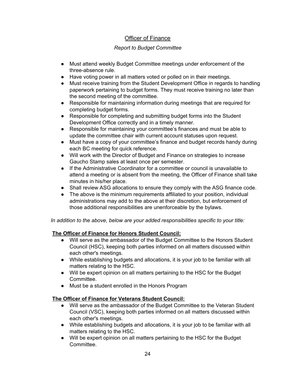# Officer of Finance

# *Report to Budget Committee*

- Must attend weekly Budget Committee meetings under enforcement of the three-absence rule.
- Have voting power in all matters voted or polled on in their meetings.
- Must receive training from the Student Development Office in regards to handling paperwork pertaining to budget forms. They must receive training no later than the second meeting of the committee.
- Responsible for maintaining information during meetings that are required for completing budget forms.
- Responsible for completing and submitting budget forms into the Student Development Office correctly and in a timely manner.
- Responsible for maintaining your committee's finances and must be able to update the committee chair with current account statuses upon request.
- Must have a copy of your committee's finance and budget records handy during each BC meeting for quick reference.
- Will work with the Director of Budget and Finance on strategies to increase Gaucho Stamp sales at least once per semester.
- If the Administrative Coordinator for a committee or council is unavailable to attend a meeting or is absent from the meeting, the Officer of Finance shall take minutes in his/her place.
- Shall review ASG allocations to ensure they comply with the ASG finance code.
- The above is the minimum requirements affiliated to your position, individual administrations may add to the above at their discretion, but enforcement of those additional responsibilities are unenforceable by the bylaws.

*In addition to the above, below are your added responsibilities specific to your title:*

# **The Officer of Finance for Honors Student Council:**

- Will serve as the ambassador of the Budget Committee to the Honors Student Council (HSC), keeping both parties informed on all matters discussed within each other's meetings.
- While establishing budgets and allocations, it is your job to be familiar with all matters relating to the HSC.
- Will be expert opinion on all matters pertaining to the HSC for the Budget Committee.
- Must be a student enrolled in the Honors Program

# **The Officer of Finance for Veterans Student Council:**

- Will serve as the ambassador of the Budget Committee to the Veteran Student Council (VSC), keeping both parties informed on all matters discussed within each other's meetings.
- While establishing budgets and allocations, it is your job to be familiar with all matters relating to the HSC.
- Will be expert opinion on all matters pertaining to the HSC for the Budget Committee.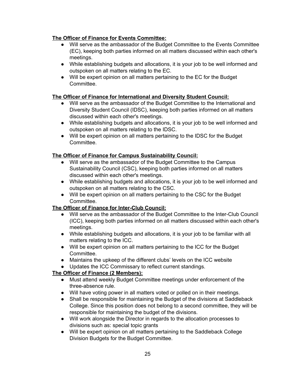# **The Officer of Finance for Events Committee:**

- Will serve as the ambassador of the Budget Committee to the Events Committee (EC), keeping both parties informed on all matters discussed within each other's meetings.
- While establishing budgets and allocations, it is your job to be well informed and outspoken on all matters relating to the EC.
- Will be expert opinion on all matters pertaining to the EC for the Budget Committee.

### **The Officer of Finance for International and Diversity Student Council:**

- Will serve as the ambassador of the Budget Committee to the International and Diversity Student Council (IDSC), keeping both parties informed on all matters discussed within each other's meetings.
- While establishing budgets and allocations, it is your job to be well informed and outspoken on all matters relating to the IDSC.
- Will be expert opinion on all matters pertaining to the IDSC for the Budget Committee.

#### **The Officer of Finance for Campus Sustainability Council:**

- Will serve as the ambassador of the Budget Committee to the Campus Sustainability Council (CSC), keeping both parties informed on all matters discussed within each other's meetings.
- While establishing budgets and allocations, it is your job to be well informed and outspoken on all matters relating to the CSC.
- Will be expert opinion on all matters pertaining to the CSC for the Budget Committee.

#### **The Officer of Finance for Inter-Club Council:**

- Will serve as the ambassador of the Budget Committee to the Inter-Club Council (ICC), keeping both parties informed on all matters discussed within each other's meetings.
- While establishing budgets and allocations, it is your job to be familiar with all matters relating to the ICC.
- Will be expert opinion on all matters pertaining to the ICC for the Budget Committee.
- Maintains the upkeep of the different clubs' levels on the ICC website
- Updates the ICC Commissary to reflect current standings.

# **The Officer of Finance (2 Members):**

- Must attend weekly Budget Committee meetings under enforcement of the three-absence rule.
- Will have voting power in all matters voted or polled on in their meetings.
- Shall be responsible for maintaining the Budget of the divisions at Saddleback College. Since this position does not belong to a second committee, they will be responsible for maintaining the budget of the divisions.
- Will work alongside the Director in regards to the allocation processes to divisions such as: special topic grants
- Will be expert opinion on all matters pertaining to the Saddleback College Division Budgets for the Budget Committee.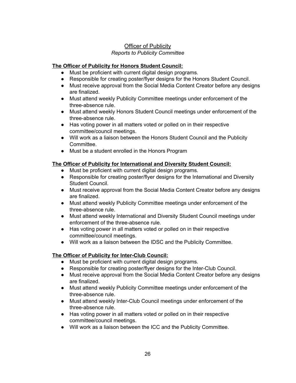# Officer of Publicity *Reports to Publicity Committee*

# **The Officer of Publicity for Honors Student Council:**

- Must be proficient with current digital design programs.
- Responsible for creating poster/flyer designs for the Honors Student Council.
- Must receive approval from the Social Media Content Creator before any designs are finalized.
- Must attend weekly Publicity Committee meetings under enforcement of the three-absence rule.
- Must attend weekly Honors Student Council meetings under enforcement of the three-absence rule.
- Has voting power in all matters voted or polled on in their respective committee/council meetings.
- Will work as a liaison between the Honors Student Council and the Publicity Committee.
- Must be a student enrolled in the Honors Program

#### **The Officer of Publicity for International and Diversity Student Council:**

- Must be proficient with current digital design programs.
- Responsible for creating poster/flyer designs for the International and Diversity Student Council.
- Must receive approval from the Social Media Content Creator before any designs are finalized.
- Must attend weekly Publicity Committee meetings under enforcement of the three-absence rule.
- Must attend weekly International and Diversity Student Council meetings under enforcement of the three-absence rule.
- Has voting power in all matters voted or polled on in their respective committee/council meetings.
- Will work as a liaison between the IDSC and the Publicity Committee.

# **The Officer of Publicity for Inter-Club Council:**

- Must be proficient with current digital design programs.
- Responsible for creating poster/flyer designs for the Inter-Club Council.
- Must receive approval from the Social Media Content Creator before any designs are finalized.
- Must attend weekly Publicity Committee meetings under enforcement of the three-absence rule.
- Must attend weekly Inter-Club Council meetings under enforcement of the three-absence rule.
- Has voting power in all matters voted or polled on in their respective committee/council meetings.
- Will work as a liaison between the ICC and the Publicity Committee.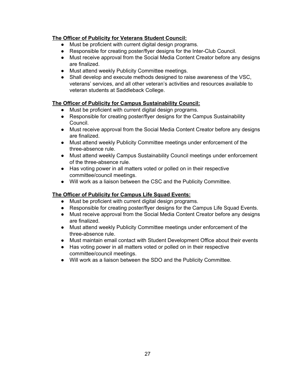# **The Officer of Publicity for Veterans Student Council:**

- Must be proficient with current digital design programs.
- Responsible for creating poster/flyer designs for the Inter-Club Council.
- Must receive approval from the Social Media Content Creator before any designs are finalized.
- Must attend weekly Publicity Committee meetings.
- Shall develop and execute methods designed to raise awareness of the VSC, veterans' services, and all other veteran's activities and resources available to veteran students at Saddleback College.

#### **The Officer of Publicity for Campus Sustainability Council:**

- Must be proficient with current digital design programs.
- Responsible for creating poster/flyer designs for the Campus Sustainability Council.
- Must receive approval from the Social Media Content Creator before any designs are finalized.
- Must attend weekly Publicity Committee meetings under enforcement of the three-absence rule.
- Must attend weekly Campus Sustainability Council meetings under enforcement of the three-absence rule.
- Has voting power in all matters voted or polled on in their respective committee/council meetings.
- Will work as a liaison between the CSC and the Publicity Committee.

# **The Officer of Publicity for Campus Life Squad Events:**

- Must be proficient with current digital design programs.
- Responsible for creating poster/flyer designs for the Campus Life Squad Events.
- Must receive approval from the Social Media Content Creator before any designs are finalized.
- Must attend weekly Publicity Committee meetings under enforcement of the three-absence rule.
- Must maintain email contact with Student Development Office about their events
- Has voting power in all matters voted or polled on in their respective committee/council meetings.
- <span id="page-26-0"></span>● Will work as a liaison between the SDO and the Publicity Committee.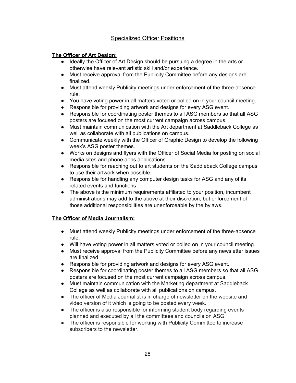# Specialized Officer Positions

# **The Officer of Art Design:**

- Ideally the Officer of Art Design should be pursuing a degree in the arts or otherwise have relevant artistic skill and/or experience.
- Must receive approval from the Publicity Committee before any designs are finalized.
- Must attend weekly Publicity meetings under enforcement of the three-absence rule.
- You have voting power in all matters voted or polled on in your council meeting.
- Responsible for providing artwork and designs for every ASG event.
- Responsible for coordinating poster themes to all ASG members so that all ASG posters are focused on the most current campaign across campus.
- Must maintain communication with the Art department at Saddleback College as well as collaborate with all publications on campus.
- Communicate weekly with the Officer of Graphic Design to develop the following week's ASG poster themes.
- Works on designs and flyers with the Officer of Social Media for posting on social media sites and phone apps applications.
- Responsible for reaching out to art students on the Saddleback College campus to use their artwork when possible.
- Responsible for handling any computer design tasks for ASG and any of its related events and functions
- The above is the minimum requirements affiliated to your position, incumbent administrations may add to the above at their discretion, but enforcement of those additional responsibilities are unenforceable by the bylaws.

# **The Officer of Media Journalism:**

- Must attend weekly Publicity meetings under enforcement of the three-absence rule.
- Will have voting power in all matters voted or polled on in your council meeting.
- Must receive approval from the Publicity Committee before any newsletter issues are finalized.
- Responsible for providing artwork and designs for every ASG event.
- Responsible for coordinating poster themes to all ASG members so that all ASG posters are focused on the most current campaign across campus.
- Must maintain communication with the Marketing department at Saddleback College as well as collaborate with all publications on campus.
- The officer of Media Journalist is in charge of newsletter on the website and video version of it which is going to be posted every week.
- The officer is also responsible for informing student body regarding events planned and executed by all the committees and councils on ASG.
- The officer is responsible for working with Publicity Committee to increase subscribers to the newsletter.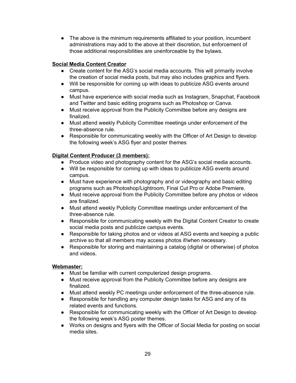• The above is the minimum requirements affiliated to your position, incumbent administrations may add to the above at their discretion, but enforcement of those additional responsibilities are unenforceable by the bylaws.

# **Social Media Content Creator**

- Create content for the ASG's social media accounts. This will primarily involve the creation of social media posts, but may also includes graphics and flyers.
- Will be responsible for coming up with ideas to publicize ASG events around campus.
- Must have experience with social media such as Instagram, Snapchat, Facebook and Twitter and basic editing programs such as Photoshop or Canva.
- Must receive approval from the Publicity Committee before any designs are finalized.
- Must attend weekly Publicity Committee meetings under enforcement of the three-absence rule.
- Responsible for communicating weekly with the Officer of Art Design to develop the following week's ASG flyer and poster themes

# **Digital Content Producer (3 members):**

- Produce video and photography content for the ASG's social media accounts.
- Will be responsible for coming up with ideas to publicize ASG events around campus.
- Must have experience with photography and or videography and basic editing programs such as Photoshop/Lightroom, Final Cut Pro or Adobe Premiere.
- Must receive approval from the Publicity Committee before any photos or videos are finalized.
- Must attend weekly Publicity Committee meetings under enforcement of the three-absence rule.
- Responsible for communicating weekly with the Digital Content Creator to create social media posts and publicize campus events.
- Responsible for taking photos and or videos at ASG events and keeping a public archive so that all members may access photos if/when necessary.
- Responsible for storing and maintaining a catalog (digital or otherwise) of photos and videos.

# **Webmaster:**

- Must be familiar with current computerized design programs.
- Must receive approval from the Publicity Committee before any designs are finalized.
- Must attend weekly PC meetings under enforcement of the three-absence rule.
- Responsible for handling any computer design tasks for ASG and any of its related events and functions.
- Responsible for communicating weekly with the Officer of Art Design to develop the following week's ASG poster themes.
- Works on designs and flyers with the Officer of Social Media for posting on social media sites.